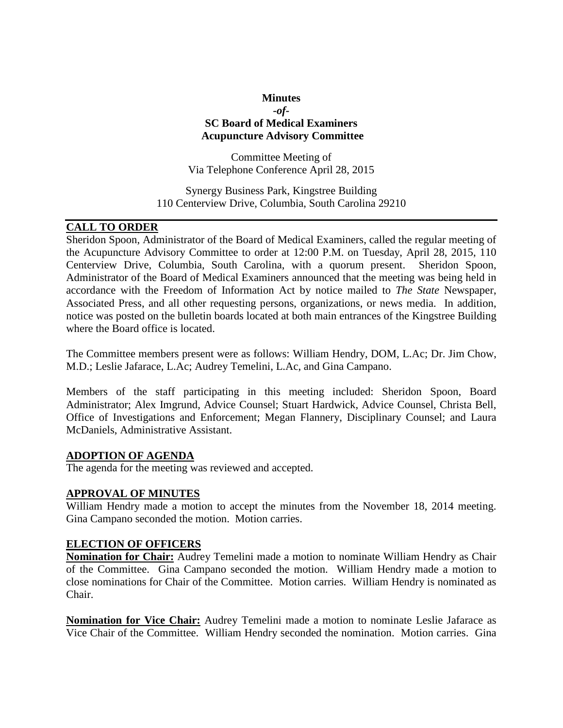## **Minutes** *-of-***SC Board of Medical Examiners Acupuncture Advisory Committee**

Committee Meeting of Via Telephone Conference April 28, 2015

Synergy Business Park, Kingstree Building 110 Centerview Drive, Columbia, South Carolina 29210

# **CALL TO ORDER**

Sheridon Spoon, Administrator of the Board of Medical Examiners, called the regular meeting of the Acupuncture Advisory Committee to order at 12:00 P.M. on Tuesday, April 28, 2015, 110 Centerview Drive, Columbia, South Carolina, with a quorum present. Sheridon Spoon, Administrator of the Board of Medical Examiners announced that the meeting was being held in accordance with the Freedom of Information Act by notice mailed to *The State* Newspaper, Associated Press, and all other requesting persons, organizations, or news media. In addition, notice was posted on the bulletin boards located at both main entrances of the Kingstree Building where the Board office is located.

The Committee members present were as follows: William Hendry, DOM, L.Ac; Dr. Jim Chow, M.D.; Leslie Jafarace, L.Ac; Audrey Temelini, L.Ac, and Gina Campano.

Members of the staff participating in this meeting included: Sheridon Spoon, Board Administrator; Alex Imgrund, Advice Counsel; Stuart Hardwick, Advice Counsel, Christa Bell, Office of Investigations and Enforcement; Megan Flannery, Disciplinary Counsel; and Laura McDaniels, Administrative Assistant.

#### **ADOPTION OF AGENDA**

The agenda for the meeting was reviewed and accepted.

#### **APPROVAL OF MINUTES**

William Hendry made a motion to accept the minutes from the November 18, 2014 meeting. Gina Campano seconded the motion. Motion carries.

#### **ELECTION OF OFFICERS**

**Nomination for Chair:** Audrey Temelini made a motion to nominate William Hendry as Chair of the Committee. Gina Campano seconded the motion. William Hendry made a motion to close nominations for Chair of the Committee. Motion carries. William Hendry is nominated as Chair.

**Nomination for Vice Chair:** Audrey Temelini made a motion to nominate Leslie Jafarace as Vice Chair of the Committee. William Hendry seconded the nomination. Motion carries. Gina